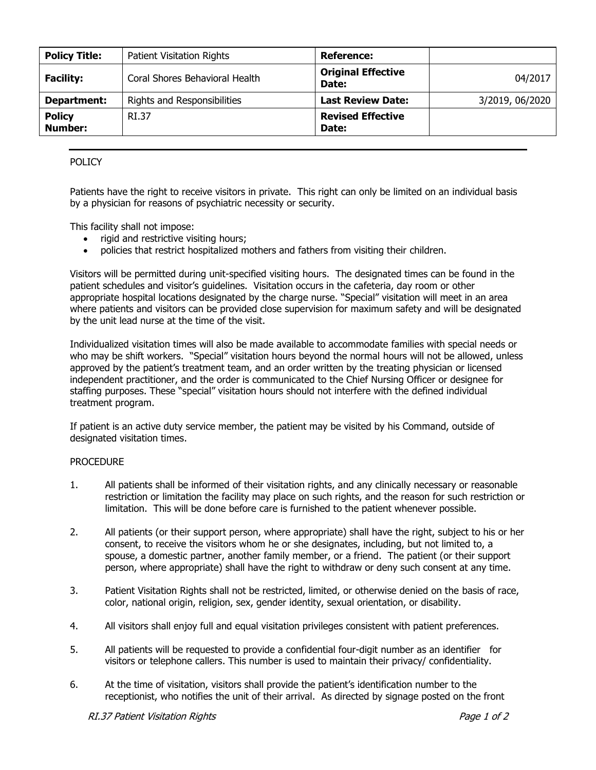| <b>Policy Title:</b>     | Patient Visitation Rights      | Reference:                         |                 |
|--------------------------|--------------------------------|------------------------------------|-----------------|
| <b>Facility:</b>         | Coral Shores Behavioral Health | <b>Original Effective</b><br>Date: | 04/2017         |
| Department:              | Rights and Responsibilities    | <b>Last Review Date:</b>           | 3/2019, 06/2020 |
| <b>Policy</b><br>Number: | RI.37                          | <b>Revised Effective</b><br>Date:  |                 |

# POLICY

Patients have the right to receive visitors in private. This right can only be limited on an individual basis by a physician for reasons of psychiatric necessity or security.

This facility shall not impose:

- rigid and restrictive visiting hours;
- policies that restrict hospitalized mothers and fathers from visiting their children.

Visitors will be permitted during unit-specified visiting hours. The designated times can be found in the patient schedules and visitor's guidelines. Visitation occurs in the cafeteria, day room or other appropriate hospital locations designated by the charge nurse. "Special" visitation will meet in an area where patients and visitors can be provided close supervision for maximum safety and will be designated by the unit lead nurse at the time of the visit.

Individualized visitation times will also be made available to accommodate families with special needs or who may be shift workers. "Special" visitation hours beyond the normal hours will not be allowed, unless approved by the patient's treatment team, and an order written by the treating physician or licensed independent practitioner, and the order is communicated to the Chief Nursing Officer or designee for staffing purposes. These "special" visitation hours should not interfere with the defined individual treatment program.

If patient is an active duty service member, the patient may be visited by his Command, outside of designated visitation times.

### PROCEDURE

- 1. All patients shall be informed of their visitation rights, and any clinically necessary or reasonable restriction or limitation the facility may place on such rights, and the reason for such restriction or limitation. This will be done before care is furnished to the patient whenever possible.
- 2. All patients (or their support person, where appropriate) shall have the right, subject to his or her consent, to receive the visitors whom he or she designates, including, but not limited to, a spouse, a domestic partner, another family member, or a friend. The patient (or their support person, where appropriate) shall have the right to withdraw or deny such consent at any time.
- 3. Patient Visitation Rights shall not be restricted, limited, or otherwise denied on the basis of race, color, national origin, religion, sex, gender identity, sexual orientation, or disability.
- 4. All visitors shall enjoy full and equal visitation privileges consistent with patient preferences.
- 5. All patients will be requested to provide a confidential four-digit number as an identifier for visitors or telephone callers. This number is used to maintain their privacy/ confidentiality.
- 6. At the time of visitation, visitors shall provide the patient's identification number to the receptionist, who notifies the unit of their arrival. As directed by signage posted on the front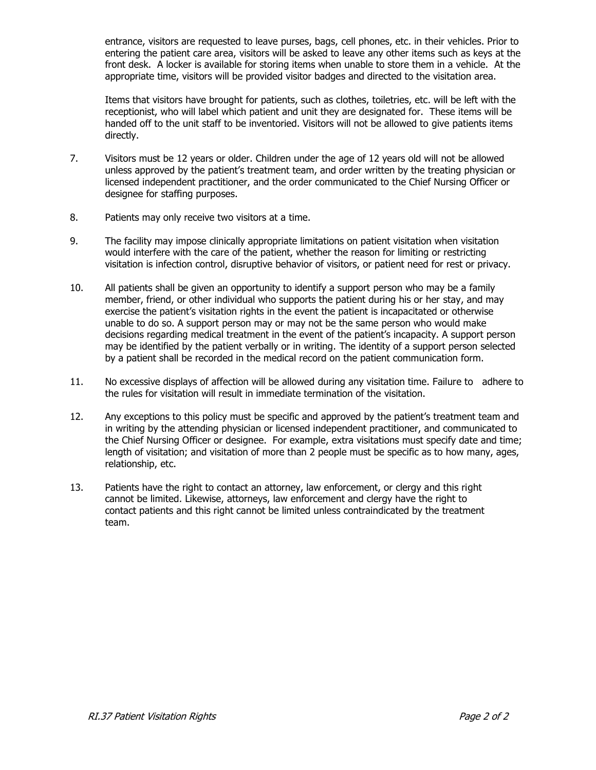entrance, visitors are requested to leave purses, bags, cell phones, etc. in their vehicles. Prior to entering the patient care area, visitors will be asked to leave any other items such as keys at the front desk. A locker is available for storing items when unable to store them in a vehicle. At the appropriate time, visitors will be provided visitor badges and directed to the visitation area.

Items that visitors have brought for patients, such as clothes, toiletries, etc. will be left with the receptionist, who will label which patient and unit they are designated for. These items will be handed off to the unit staff to be inventoried. Visitors will not be allowed to give patients items directly.

- 7. Visitors must be 12 years or older. Children under the age of 12 years old will not be allowed unless approved by the patient's treatment team, and order written by the treating physician or licensed independent practitioner, and the order communicated to the Chief Nursing Officer or designee for staffing purposes.
- 8. Patients may only receive two visitors at a time.
- 9. The facility may impose clinically appropriate limitations on patient visitation when visitation would interfere with the care of the patient, whether the reason for limiting or restricting visitation is infection control, disruptive behavior of visitors, or patient need for rest or privacy.
- 10. All patients shall be given an opportunity to identify a support person who may be a family member, friend, or other individual who supports the patient during his or her stay, and may exercise the patient's visitation rights in the event the patient is incapacitated or otherwise unable to do so. A support person may or may not be the same person who would make decisions regarding medical treatment in the event of the patient's incapacity. A support person may be identified by the patient verbally or in writing. The identity of a support person selected by a patient shall be recorded in the medical record on the patient communication form.
- 11. No excessive displays of affection will be allowed during any visitation time. Failure to adhere to the rules for visitation will result in immediate termination of the visitation.
- 12. Any exceptions to this policy must be specific and approved by the patient's treatment team and in writing by the attending physician or licensed independent practitioner, and communicated to the Chief Nursing Officer or designee. For example, extra visitations must specify date and time; length of visitation; and visitation of more than 2 people must be specific as to how many, ages, relationship, etc.
- 13. Patients have the right to contact an attorney, law enforcement, or clergy and this right cannot be limited. Likewise, attorneys, law enforcement and clergy have the right to contact patients and this right cannot be limited unless contraindicated by the treatment team.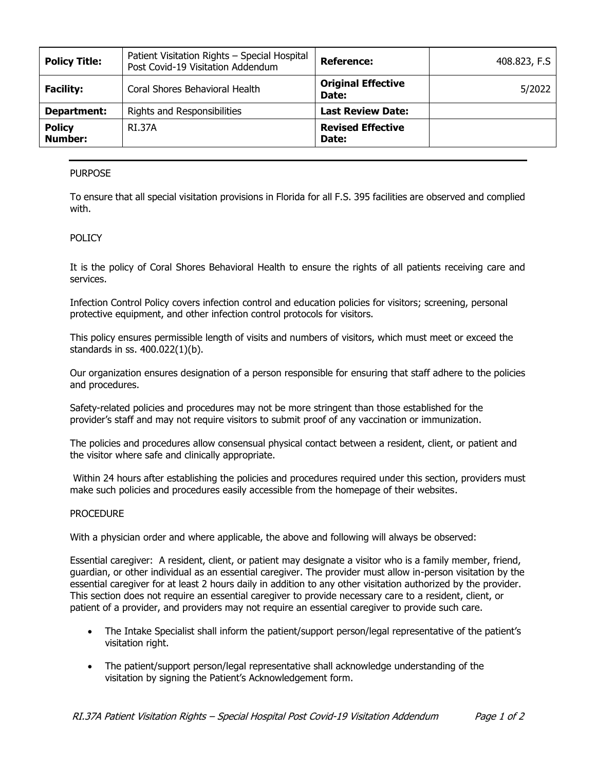| <b>Policy Title:</b>            | Patient Visitation Rights - Special Hospital<br>Post Covid-19 Visitation Addendum | <b>Reference:</b>                  | 408.823, F.S |
|---------------------------------|-----------------------------------------------------------------------------------|------------------------------------|--------------|
| <b>Facility:</b>                | Coral Shores Behavioral Health                                                    | <b>Original Effective</b><br>Date: | 5/2022       |
| Department:                     | Rights and Responsibilities                                                       | <b>Last Review Date:</b>           |              |
| <b>Policy</b><br><b>Number:</b> | <b>RI.37A</b>                                                                     | <b>Revised Effective</b><br>Date:  |              |

## PURPOSE

To ensure that all special visitation provisions in Florida for all F.S. 395 facilities are observed and complied with.

## POLICY

It is the policy of Coral Shores Behavioral Health to ensure the rights of all patients receiving care and services.

Infection Control Policy covers infection control and education policies for visitors; screening, personal protective equipment, and other infection control protocols for visitors.

This policy ensures permissible length of visits and numbers of visitors, which must meet or exceed the standards in ss. 400.022(1)(b).

Our organization ensures designation of a person responsible for ensuring that staff adhere to the policies and procedures.

Safety-related policies and procedures may not be more stringent than those established for the provider's staff and may not require visitors to submit proof of any vaccination or immunization.

The policies and procedures allow consensual physical contact between a resident, client, or patient and the visitor where safe and clinically appropriate.

Within 24 hours after establishing the policies and procedures required under this section, providers must make such policies and procedures easily accessible from the homepage of their websites.

### **PROCEDURE**

With a physician order and where applicable, the above and following will always be observed:

Essential caregiver: A resident, client, or patient may designate a visitor who is a family member, friend, guardian, or other individual as an essential caregiver. The provider must allow in-person visitation by the essential caregiver for at least 2 hours daily in addition to any other visitation authorized by the provider. This section does not require an essential caregiver to provide necessary care to a resident, client, or patient of a provider, and providers may not require an essential caregiver to provide such care.

- The Intake Specialist shall inform the patient/support person/legal representative of the patient's visitation right.
- The patient/support person/legal representative shall acknowledge understanding of the visitation by signing the Patient's Acknowledgement form.